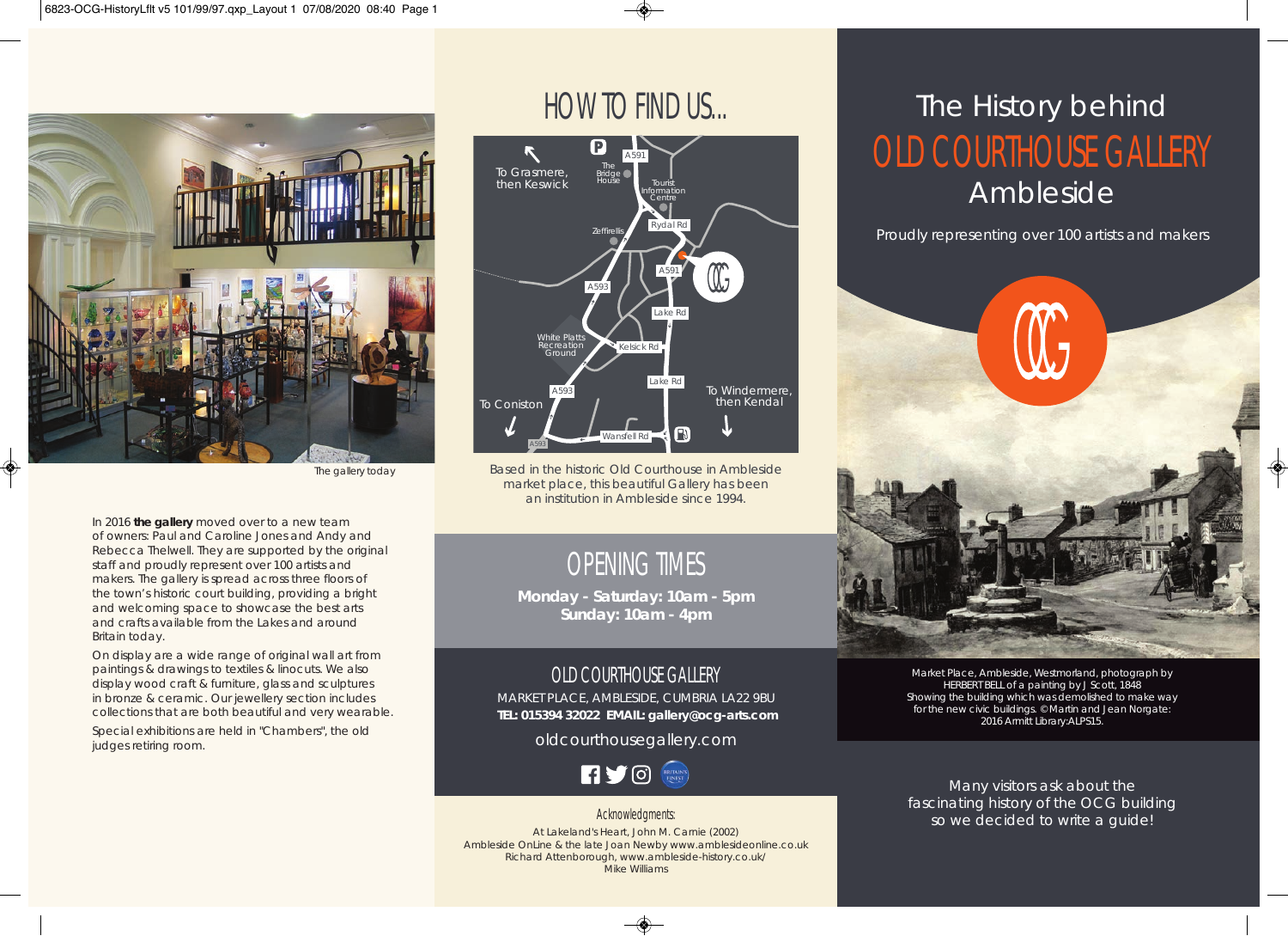

The gallery today

In 2016 **the gallery** moved over to a new team of owners: Paul and Caroline Jones and Andy and Rebecca Thelwell. They are supported by the original staff and proudly represent over 100 artists and makers. The gallery is spread across three floors of the town's historic court building, providing a bright and welcoming space to showcase the best arts and crafts available from the Lakes and around Britain today.

On display are a wide range of original wall art from paintings & drawings to textiles & linocuts. We also display wood craft & furniture, glass and sculptures in bronze & ceramic. Our jewellery section includes collections that are both beautiful and very wearable.

Special exhibitions are held in "Chambers", the old judges retiring room.

# HOW TO FIND US...



Based in the historic Old Courthouse in Ambleside market place, this beautiful Gallery has been an institution in Ambleside since 1994.

## OPENING TIMES

**Monday - Saturday: 10am - 5pm Sunday: 10am - 4pm**

### OLD COURTHOUSE GALLERY

MARKET PLACE, AMBLESIDE, CUMBRIA LA22 9BU  **TEL: 015394 32022 EMAIL: gallery@ocg-arts.com**

oldcourthousegallery.com



Acknowledgments: At Lakeland's Heart, John M. Carnie (2002) Ambleside OnLine & the late Joan Newby www.amblesideonline.co.uk Richard Attenborough, www.ambleside-history.co.uk/ Mike Williams

# OLD COURTHOUSE GALLERY Ambleside The History behind

Proudly representing over 100 artists and makers



Market Place, Ambleside, Westmorland, photograph by HERBERT BELL of a painting by J Scott, 1848 Showing the building which was demolished to make way for the new civic buildings. © Martin and Jean Norgate: 2016 Armitt Library:ALPS15.

Many visitors ask about the fascinating history of the OCG building so we decided to write a guide!